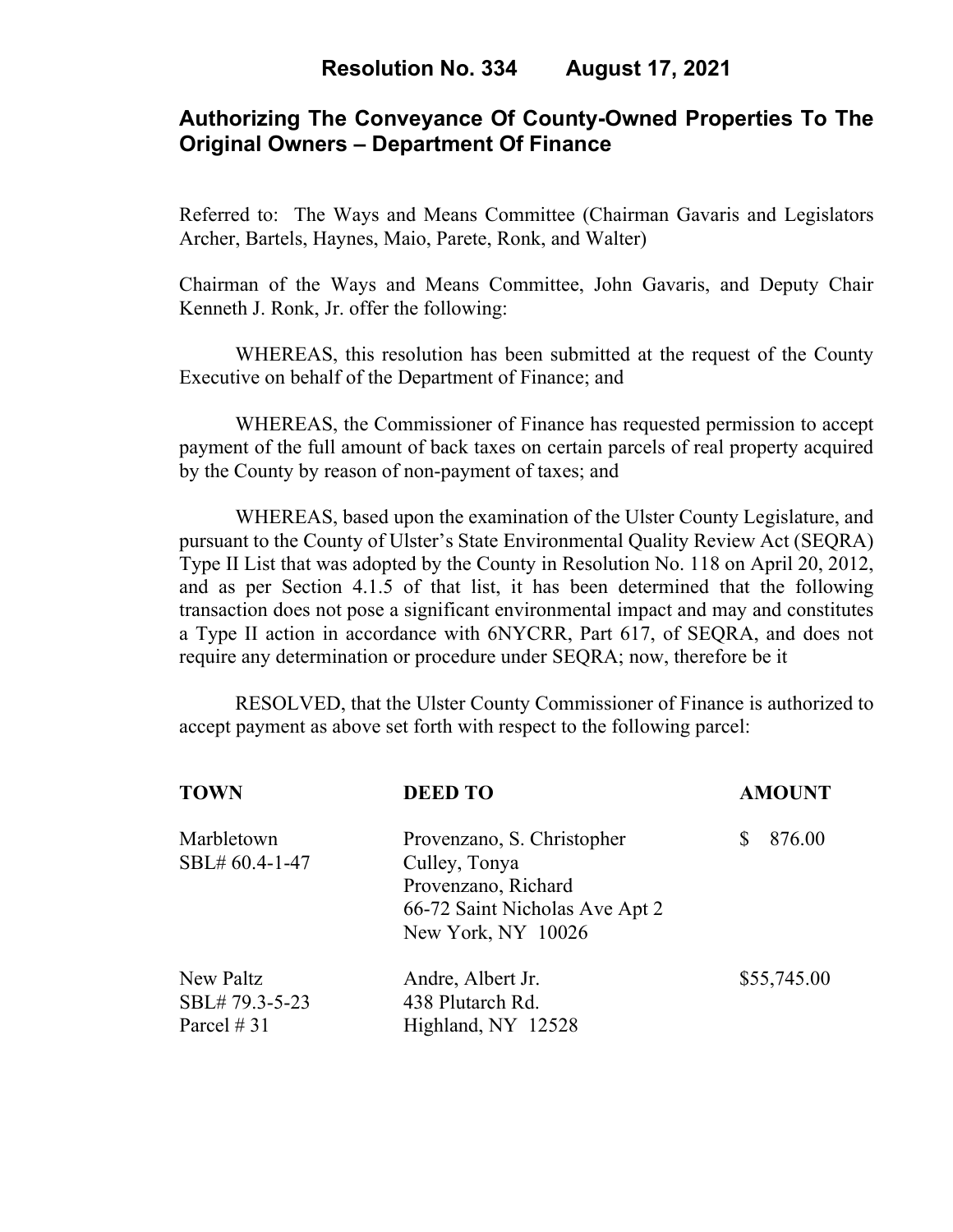## **Authorizing The Conveyance Of County-Owned Properties To The Original Owners – Department Of Finance**

Referred to: The Ways and Means Committee (Chairman Gavaris and Legislators Archer, Bartels, Haynes, Maio, Parete, Ronk, and Walter)

Chairman of the Ways and Means Committee, John Gavaris, and Deputy Chair Kenneth J. Ronk, Jr. offer the following:

WHEREAS, this resolution has been submitted at the request of the County Executive on behalf of the Department of Finance; and

WHEREAS, the Commissioner of Finance has requested permission to accept payment of the full amount of back taxes on certain parcels of real property acquired by the County by reason of non-payment of taxes; and

WHEREAS, based upon the examination of the Ulster County Legislature, and pursuant to the County of Ulster's State Environmental Quality Review Act (SEQRA) Type II List that was adopted by the County in Resolution No. 118 on April 20, 2012, and as per Section 4.1.5 of that list, it has been determined that the following transaction does not pose a significant environmental impact and may and constitutes a Type II action in accordance with 6NYCRR, Part 617, of SEQRA, and does not require any determination or procedure under SEQRA; now, therefore be it

 RESOLVED, that the Ulster County Commissioner of Finance is authorized to accept payment as above set forth with respect to the following parcel:

| <b>TOWN</b>      | <b>DEED TO</b>                 | <b>AMOUNT</b> |
|------------------|--------------------------------|---------------|
| Marbletown       | Provenzano, S. Christopher     | 876.00        |
| SBL# 60.4-1-47   | Culley, Tonya                  |               |
|                  | Provenzano, Richard            |               |
|                  | 66-72 Saint Nicholas Ave Apt 2 |               |
|                  | New York, NY 10026             |               |
| <b>New Paltz</b> | Andre, Albert Jr.              | \$55,745.00   |
| SBL#79.3-5-23    | 438 Plutarch Rd.               |               |
| Parcel $#31$     | Highland, NY 12528             |               |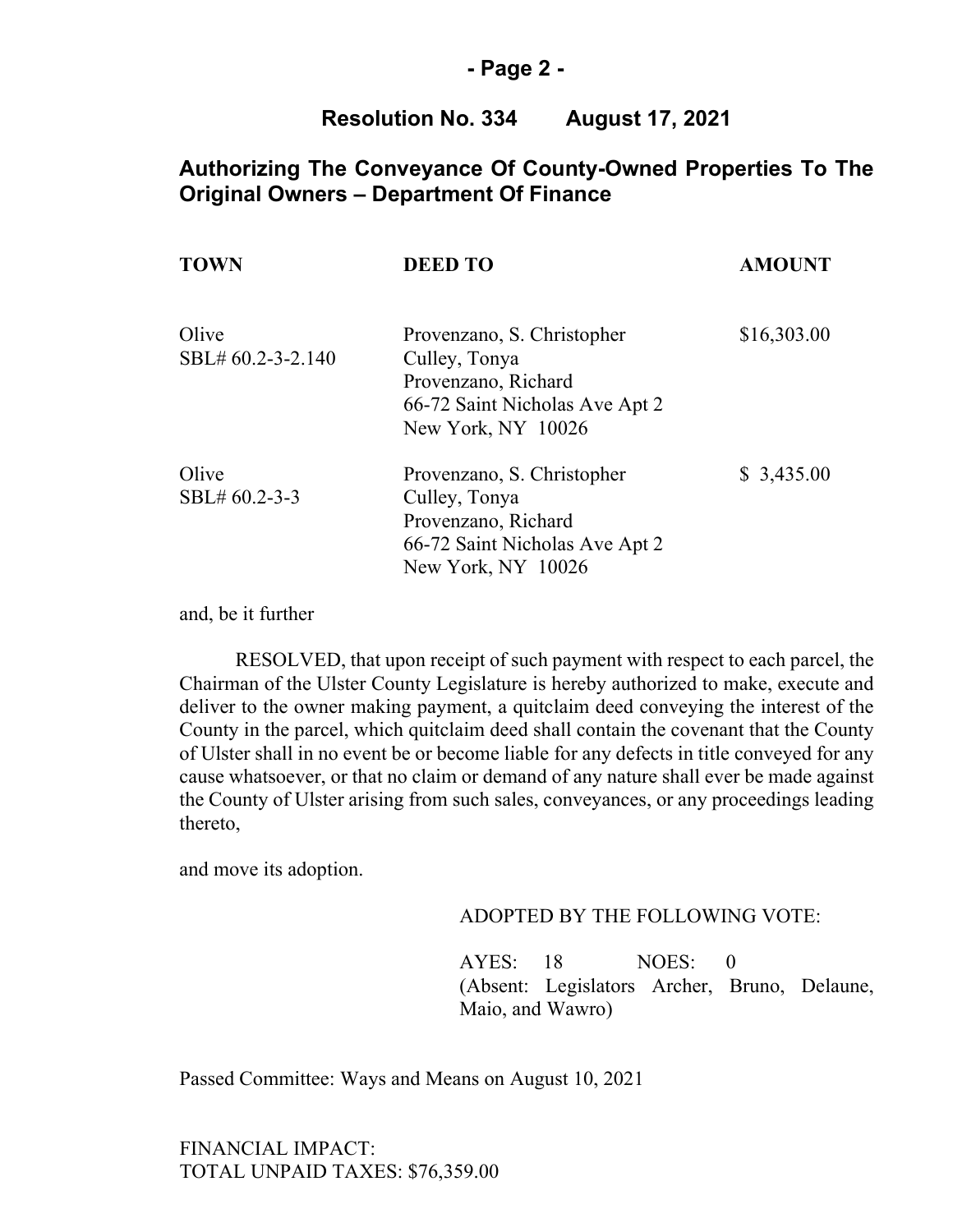### **- Page 2 -**

### **Resolution No. 334 August 17, 2021**

### **Authorizing The Conveyance Of County-Owned Properties To The Original Owners – Department Of Finance**

| <b>TOWN</b>                | <b>DEED TO</b>                                                                                                             | <b>AMOUNT</b> |
|----------------------------|----------------------------------------------------------------------------------------------------------------------------|---------------|
| Olive<br>SBL# 60.2-3-2.140 | Provenzano, S. Christopher<br>Culley, Tonya<br>Provenzano, Richard<br>66-72 Saint Nicholas Ave Apt 2<br>New York, NY 10026 | \$16,303.00   |
| Olive<br>SBL# 60.2-3-3     | Provenzano, S. Christopher<br>Culley, Tonya<br>Provenzano, Richard<br>66-72 Saint Nicholas Ave Apt 2<br>New York, NY 10026 | \$3,435.00    |

and, be it further

RESOLVED, that upon receipt of such payment with respect to each parcel, the Chairman of the Ulster County Legislature is hereby authorized to make, execute and deliver to the owner making payment, a quitclaim deed conveying the interest of the County in the parcel, which quitclaim deed shall contain the covenant that the County of Ulster shall in no event be or become liable for any defects in title conveyed for any cause whatsoever, or that no claim or demand of any nature shall ever be made against the County of Ulster arising from such sales, conveyances, or any proceedings leading thereto,

and move its adoption.

#### ADOPTED BY THE FOLLOWING VOTE:

AYES: 18 NOES: 0 (Absent: Legislators Archer, Bruno, Delaune, Maio, and Wawro)

Passed Committee: Ways and Means on August 10, 2021

FINANCIAL IMPACT: TOTAL UNPAID TAXES: \$76,359.00